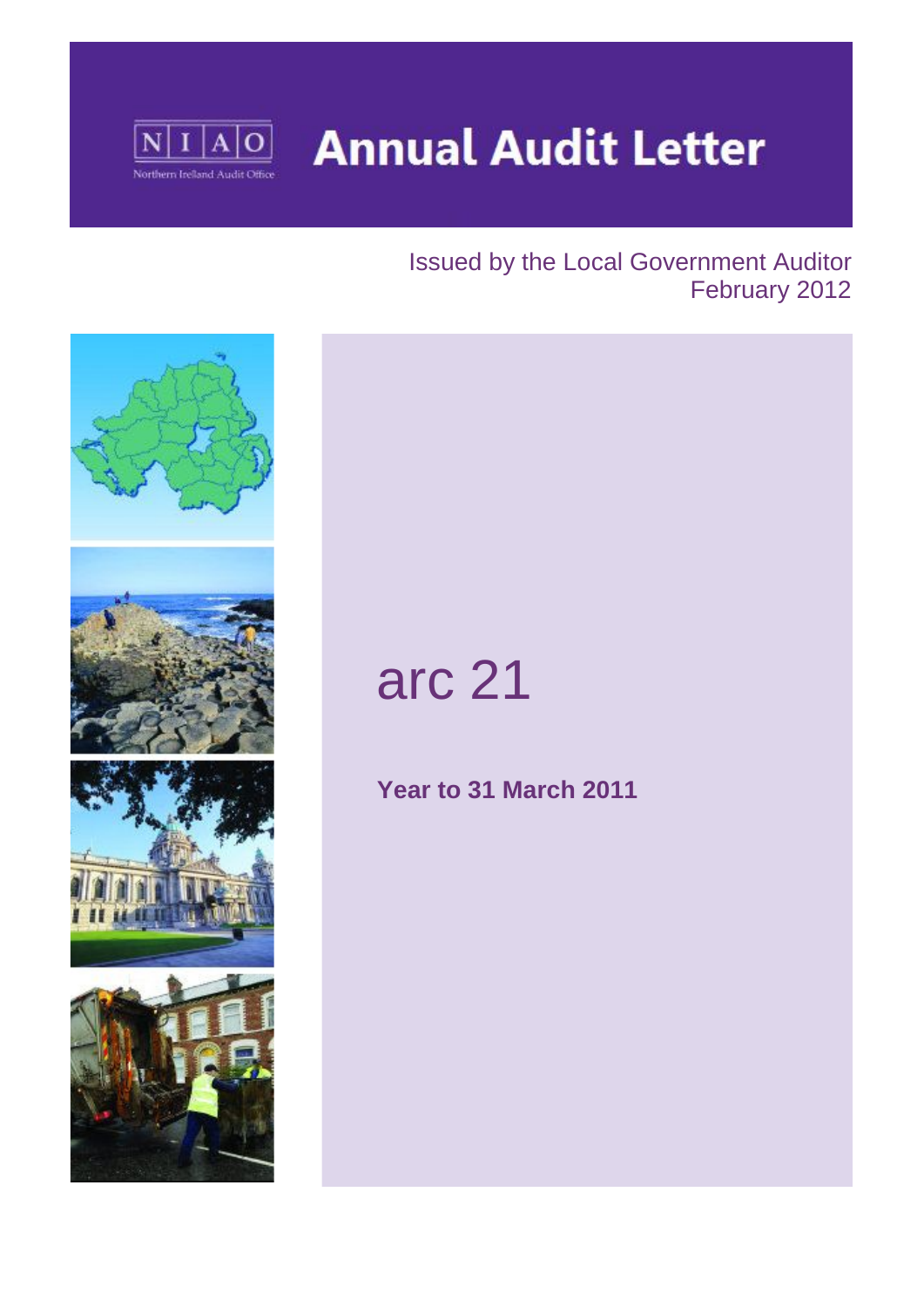

**Annual Audit Letter** 

### Issued by the Local Government Auditor February 2012



# arc 21

**Year to 31 March 2011**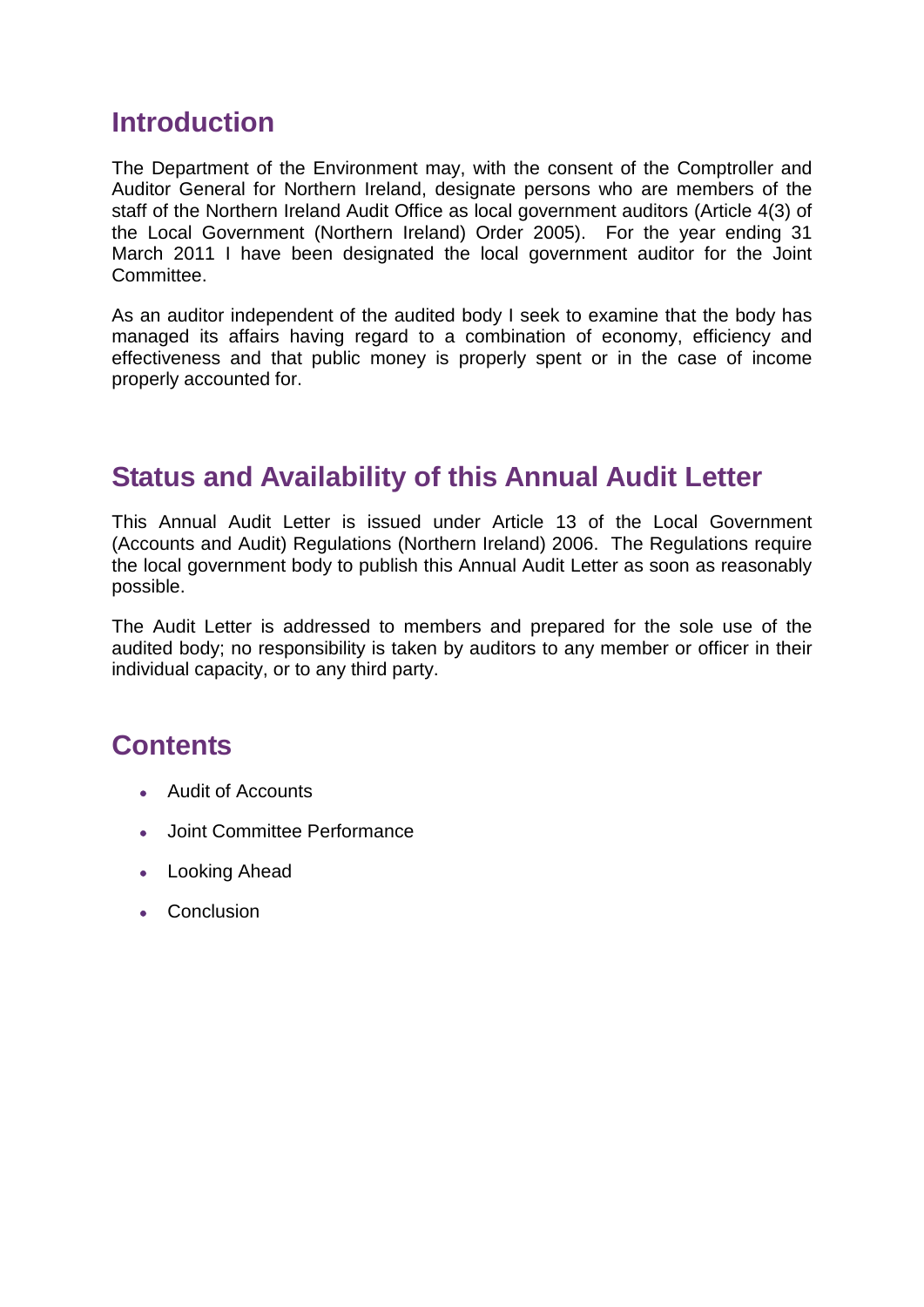### **Introduction**

The Department of the Environment may, with the consent of the Comptroller and Auditor General for Northern Ireland, designate persons who are members of the staff of the Northern Ireland Audit Office as local government auditors (Article 4(3) of the Local Government (Northern Ireland) Order 2005). For the year ending 31 March 2011 I have been designated the local government auditor for the Joint Committee.

As an auditor independent of the audited body I seek to examine that the body has managed its affairs having regard to a combination of economy, efficiency and effectiveness and that public money is properly spent or in the case of income properly accounted for.

### **Status and Availability of this Annual Audit Letter**

This Annual Audit Letter is issued under Article 13 of the Local Government (Accounts and Audit) Regulations (Northern Ireland) 2006. The Regulations require the local government body to publish this Annual Audit Letter as soon as reasonably possible.

The Audit Letter is addressed to members and prepared for the sole use of the audited body; no responsibility is taken by auditors to any member or officer in their individual capacity, or to any third party.

### **Contents**

- Audit of Accounts
- Joint Committee Performance
- Looking Ahead
- Conclusion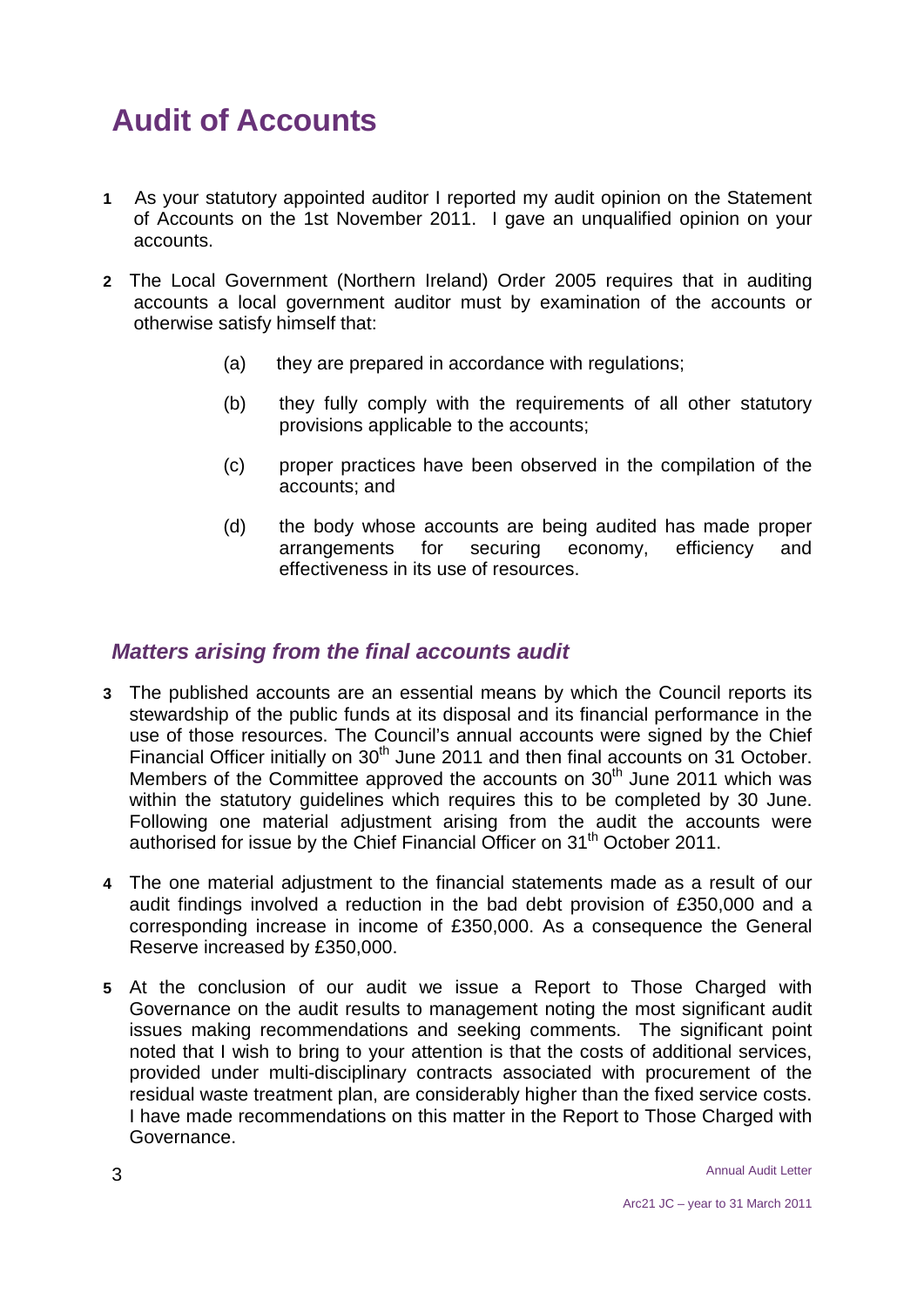# **Audit of Accounts**

- **1** As your statutory appointed auditor I reported my audit opinion on the Statement of Accounts on the 1st November 2011. I gave an unqualified opinion on your accounts.
- **2** The Local Government (Northern Ireland) Order 2005 requires that in auditing accounts a local government auditor must by examination of the accounts or otherwise satisfy himself that:
	- (a) they are prepared in accordance with regulations;
	- (b) they fully comply with the requirements of all other statutory provisions applicable to the accounts;
	- (c) proper practices have been observed in the compilation of the accounts; and
	- (d) the body whose accounts are being audited has made proper arrangements for securing economy, efficiency and effectiveness in its use of resources.

#### *Matters arising from the final accounts audit*

- **3** The published accounts are an essential means by which the Council reports its stewardship of the public funds at its disposal and its financial performance in the use of those resources. The Council's annual accounts were signed by the Chief Financial Officer initially on  $30<sup>th</sup>$  June 2011 and then final accounts on 31 October. Members of the Committee approved the accounts on 30<sup>th</sup> June 2011 which was within the statutory guidelines which requires this to be completed by 30 June. Following one material adjustment arising from the audit the accounts were authorised for issue by the Chief Financial Officer on 31<sup>th</sup> October 2011.
- **4** The one material adjustment to the financial statements made as a result of our audit findings involved a reduction in the bad debt provision of £350,000 and a corresponding increase in income of £350,000. As a consequence the General Reserve increased by £350,000.
- **5** At the conclusion of our audit we issue a Report to Those Charged with Governance on the audit results to management noting the most significant audit issues making recommendations and seeking comments. The significant point noted that I wish to bring to your attention is that the costs of additional services, provided under multi-disciplinary contracts associated with procurement of the residual waste treatment plan, are considerably higher than the fixed service costs. I have made recommendations on this matter in the Report to Those Charged with Governance.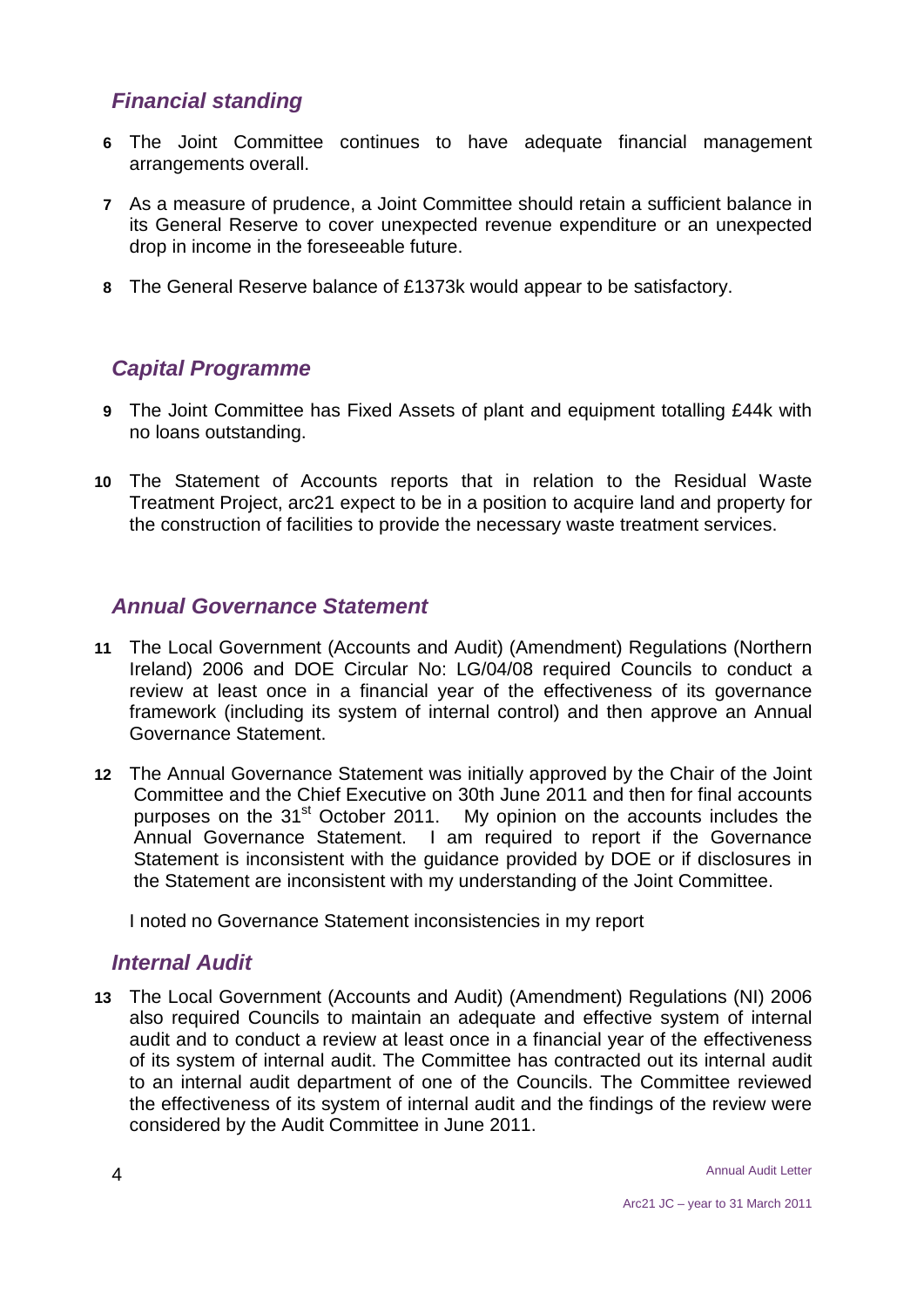#### *Financial standing*

- **6** The Joint Committee continues to have adequate financial management arrangements overall.
- **7** As a measure of prudence, a Joint Committee should retain a sufficient balance in its General Reserve to cover unexpected revenue expenditure or an unexpected drop in income in the foreseeable future.
- **8** The General Reserve balance of £1373k would appear to be satisfactory.

#### *Capital Programme*

- **9** The Joint Committee has Fixed Assets of plant and equipment totalling £44k with no loans outstanding.
- **10** The Statement of Accounts reports that in relation to the Residual Waste Treatment Project, arc21 expect to be in a position to acquire land and property for the construction of facilities to provide the necessary waste treatment services.

#### *Annual Governance Statement*

- **11** The Local Government (Accounts and Audit) (Amendment) Regulations (Northern Ireland) 2006 and DOE Circular No: LG/04/08 required Councils to conduct a review at least once in a financial year of the effectiveness of its governance framework (including its system of internal control) and then approve an Annual Governance Statement.
- **12** The Annual Governance Statement was initially approved by the Chair of the Joint Committee and the Chief Executive on 30th June 2011 and then for final accounts purposes on the 31<sup>st</sup> October 2011. My opinion on the accounts includes the Annual Governance Statement. I am required to report if the Governance Statement is inconsistent with the guidance provided by DOE or if disclosures in the Statement are inconsistent with my understanding of the Joint Committee.

I noted no Governance Statement inconsistencies in my report

#### *Internal Audit*

**13** The Local Government (Accounts and Audit) (Amendment) Regulations (NI) 2006 also required Councils to maintain an adequate and effective system of internal audit and to conduct a review at least once in a financial year of the effectiveness of its system of internal audit. The Committee has contracted out its internal audit to an internal audit department of one of the Councils. The Committee reviewed the effectiveness of its system of internal audit and the findings of the review were considered by the Audit Committee in June 2011.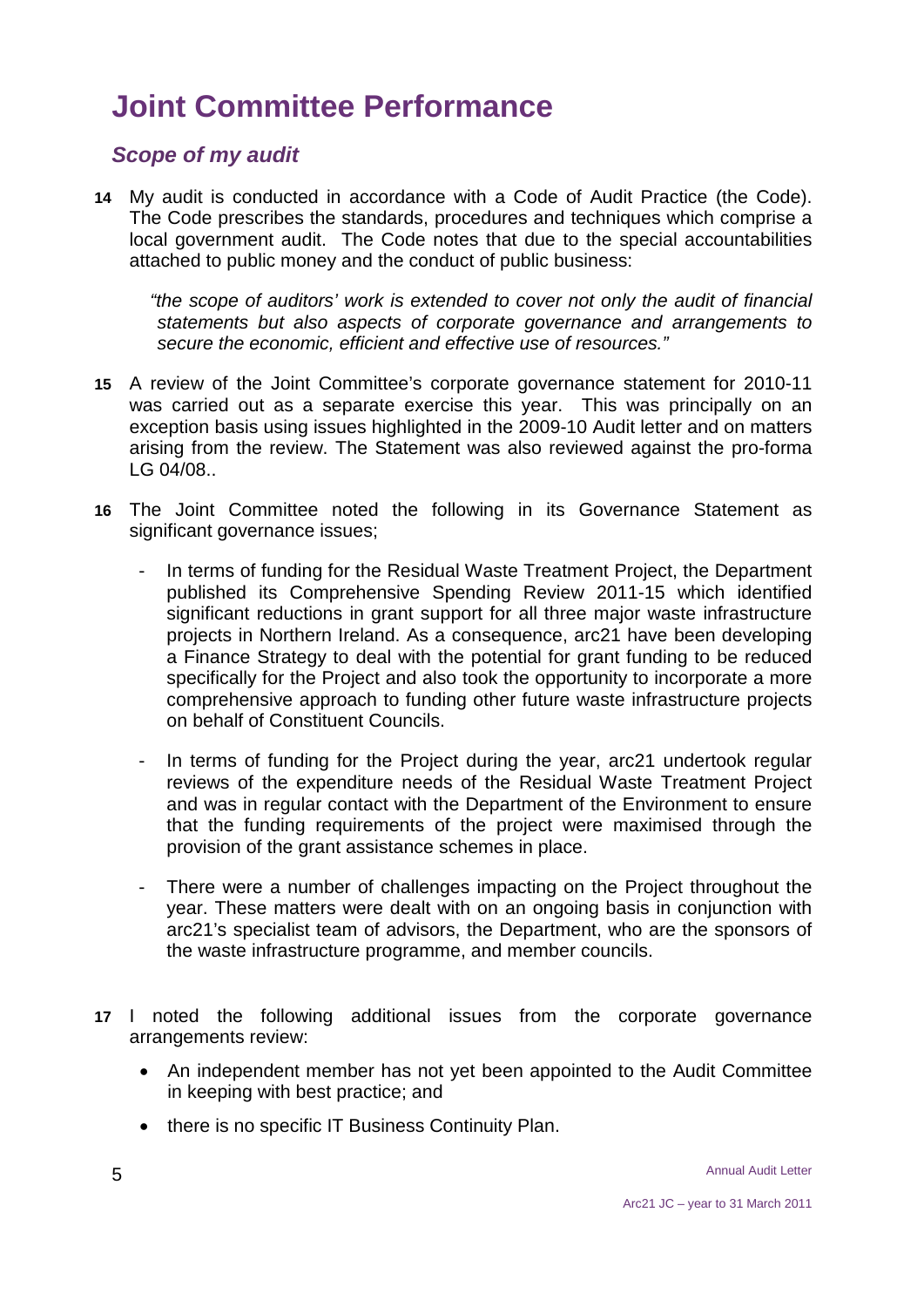## **Joint Committee Performance**

#### *Scope of my audit*

**14** My audit is conducted in accordance with a Code of Audit Practice (the Code). The Code prescribes the standards, procedures and techniques which comprise a local government audit. The Code notes that due to the special accountabilities attached to public money and the conduct of public business:

 *"the scope of auditors' work is extended to cover not only the audit of financial statements but also aspects of corporate governance and arrangements to secure the economic, efficient and effective use of resources."*

- **15** A review of the Joint Committee's corporate governance statement for 2010-11 was carried out as a separate exercise this year. This was principally on an exception basis using issues highlighted in the 2009-10 Audit letter and on matters arising from the review. The Statement was also reviewed against the pro-forma LG 04/08..
- **16** The Joint Committee noted the following in its Governance Statement as significant governance issues;
	- In terms of funding for the Residual Waste Treatment Project, the Department published its Comprehensive Spending Review 2011-15 which identified significant reductions in grant support for all three major waste infrastructure projects in Northern Ireland. As a consequence, arc21 have been developing a Finance Strategy to deal with the potential for grant funding to be reduced specifically for the Project and also took the opportunity to incorporate a more comprehensive approach to funding other future waste infrastructure projects on behalf of Constituent Councils.
	- In terms of funding for the Project during the year, arc21 undertook regular reviews of the expenditure needs of the Residual Waste Treatment Project and was in regular contact with the Department of the Environment to ensure that the funding requirements of the project were maximised through the provision of the grant assistance schemes in place.
	- There were a number of challenges impacting on the Project throughout the year. These matters were dealt with on an ongoing basis in conjunction with arc21's specialist team of advisors, the Department, who are the sponsors of the waste infrastructure programme, and member councils.
- **17** I noted the following additional issues from the corporate governance arrangements review:
	- An independent member has not yet been appointed to the Audit Committee in keeping with best practice; and
	- there is no specific IT Business Continuity Plan.